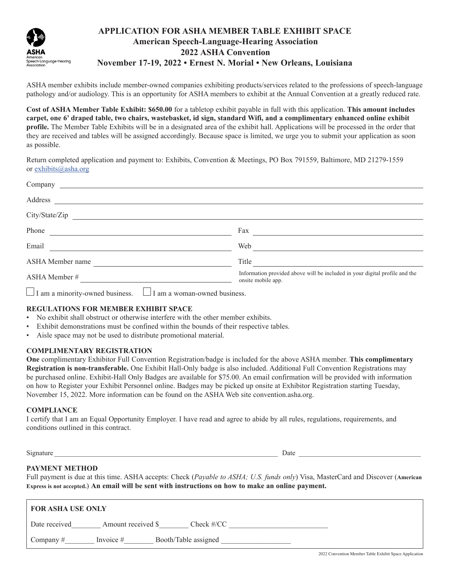

# **APPLICATION FOR ASHA MEMBER TABLE EXHIBIT SPACE American Speech-Language-Hearing Association 2022 ASHA Convention November 17-19, 2022 • Ernest N. Morial • New Orleans, Louisiana**

ASHA member exhibits include member-owned companies exhibiting products/services related to the professions of speech-language pathology and/or audiology. This is an opportunity for ASHA members to exhibit at the Annual Convention at a greatly reduced rate.

**Cost of ASHA Member Table Exhibit: \$650.00** for a tabletop exhibit payable in full with this application. **This amount includes carpet, one 6' draped table, two chairs, wastebasket, id sign, standard Wifi, and a complimentary enhanced online exhibit profile.** The Member Table Exhibits will be in a designated area of the exhibit hall. Applications will be processed in the order that they are received and tables will be assigned accordingly. Because space is limited, we urge you to submit your application as soon as possible.

Return completed application and payment to: Exhibits, Convention & Meetings, PO Box 791559, Baltimore, MD 21279-1559 or [exhibits@asha.org](http://exhibits@asha.org)

| Company                                                                                                                              |                                                                                                   |
|--------------------------------------------------------------------------------------------------------------------------------------|---------------------------------------------------------------------------------------------------|
| Address                                                                                                                              |                                                                                                   |
| City/State/Zip                                                                                                                       |                                                                                                   |
| Phone                                                                                                                                | Fax                                                                                               |
| Email                                                                                                                                | Web                                                                                               |
| ASHA Member name                                                                                                                     | Title                                                                                             |
| ASHA Member #<br><u> 1980 - Andrea Albert III, politik eta politik eta politik eta politik eta politik eta politik eta politik e</u> | Information provided above will be included in your digital profile and the<br>onsite mobile app. |
| $\Box$ I am a minority-owned business. $\Box$ I am a woman-owned business.                                                           |                                                                                                   |

# **REGULATIONS FOR MEMBER EXHIBIT SPACE**

- No exhibit shall obstruct or otherwise interfere with the other member exhibits.
- Exhibit demonstrations must be confined within the bounds of their respective tables.
- Aisle space may not be used to distribute promotional material.

### **COMPLIMENTARY REGISTRATION**

**One** complimentary Exhibitor Full Convention Registration/badge is included for the above ASHA member. **This complimentary Registration is non-transferable.** One Exhibit Hall-Only badge is also included. Additional Full Convention Registrations may be purchased online. Exhibit-Hall Only Badges are available for \$75.00. An email confirmation will be provided with information on how to Register your Exhibit Personnel online. Badges may be picked up onsite at Exhibitor Registration starting Tuesday, November 15, 2022. More information can be found on the ASHA Web site convention.asha.org.

### **COMPLIANCE**

I certify that I am an Equal Opportunity Employer. I have read and agree to abide by all rules, regulations, requirements, and conditions outlined in this contract.

Signature  $\Box$ 

# **PAYMENT METHOD**

Full payment is due at this time. ASHA accepts: Check (*Payable to ASHA; U.S. funds only*) Visa, MasterCard and Discover (**American Express is not accepted.**) **An email will be sent with instructions on how to make an online payment.**

| <b>FOR ASHA USE ONLY</b>                           |  |
|----------------------------------------------------|--|
| Check #/CC<br>Date received<br>Amount received \$  |  |
| Booth/Table assigned<br>Company $#$<br>Invoice $#$ |  |